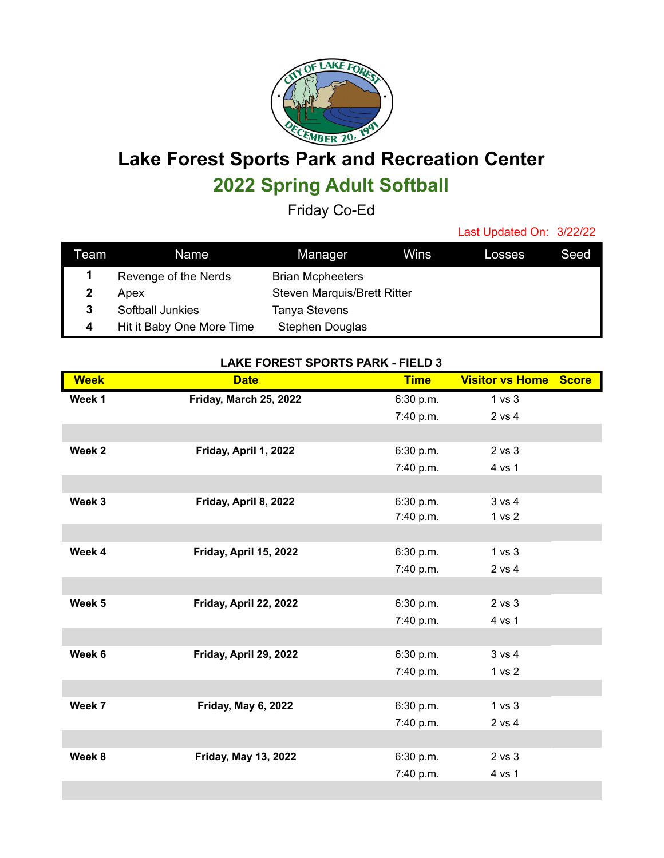

## **Lake Forest Sports Park and Recreation Center 2022 Spring Adult Softball**

Friday Co-Ed

Last Updated On: 3/22/22

| Team | Name                      | Manager                            | Wins | Losses | Seed |
|------|---------------------------|------------------------------------|------|--------|------|
|      | Revenge of the Nerds      | <b>Brian Mcpheeters</b>            |      |        |      |
| 2    | Apex                      | <b>Steven Marquis/Brett Ritter</b> |      |        |      |
| 3    | Softball Junkies          | <b>Tanya Stevens</b>               |      |        |      |
| 4    | Hit it Baby One More Time | <b>Stephen Douglas</b>             |      |        |      |

## **LAKE FOREST SPORTS PARK - FIELD 3**

| <b>Week</b> | <b>Date</b>                 | <b>Time</b> | <b>Visitor vs Home Score</b> |  |
|-------------|-----------------------------|-------------|------------------------------|--|
| Week 1      | Friday, March 25, 2022      | 6:30 p.m.   | 1 vs 3                       |  |
|             |                             | 7:40 p.m.   | 2 vs 4                       |  |
|             |                             |             |                              |  |
| Week 2      | Friday, April 1, 2022       | 6:30 p.m.   | $2$ vs $3$                   |  |
|             |                             | 7:40 p.m.   | 4 vs 1                       |  |
|             |                             |             |                              |  |
| Week 3      | Friday, April 8, 2022       | 6:30 p.m.   | 3 vs 4                       |  |
|             |                             | 7:40 p.m.   | 1 <sub>vs</sub> 2            |  |
|             |                             |             |                              |  |
| Week 4      | Friday, April 15, 2022      | 6:30 p.m.   | 1 vs 3                       |  |
|             |                             | 7:40 p.m.   | 2 vs 4                       |  |
|             |                             |             |                              |  |
| Week 5      | Friday, April 22, 2022      | 6:30 p.m.   | 2 vs 3                       |  |
|             |                             | 7:40 p.m.   | 4 vs 1                       |  |
|             |                             |             |                              |  |
| Week 6      | Friday, April 29, 2022      | 6:30 p.m.   | 3 v s 4                      |  |
|             |                             | 7:40 p.m.   | 1 <sub>vs</sub> 2            |  |
|             |                             |             |                              |  |
| Week 7      | Friday, May 6, 2022         | 6:30 p.m.   | 1 vs 3                       |  |
|             |                             | 7:40 p.m.   | 2 vs 4                       |  |
|             |                             |             |                              |  |
| Week 8      | <b>Friday, May 13, 2022</b> | 6:30 p.m.   | $2$ vs $3$                   |  |
|             |                             | 7:40 p.m.   | 4 vs 1                       |  |
|             |                             |             |                              |  |